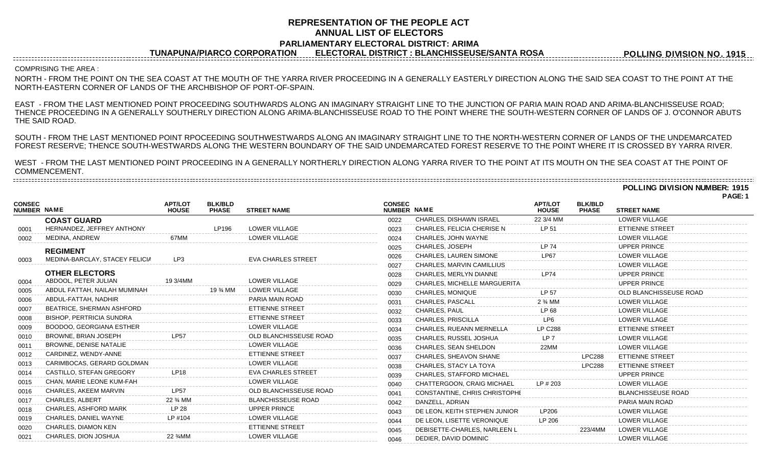## **REPRESENTATION OF THE PEOPLE ACT ANNUAL LIST OF ELECTORS PARLIAMENTARY ELECTORAL DISTRICT: ARIMA**

**TUNAPUNA/PIARCO CORPORATION ELECTORAL DISTRICT : BLANCHISSEUSE/SANTA ROSA**

**POLLING DIVISION NO. 1915**

## COMPRISING THE AREA :

NORTH - FROM THE POINT ON THE SEA COAST AT THE MOUTH OF THE YARRA RIVER PROCEEDING IN A GENERALLY EASTERLY DIRECTION ALONG THE SAID SEA COAST TO THE POINT AT THE NORTH-EASTERN CORNER OF LANDS OF THE ARCHBISHOP OF PORT-OF-SPAIN.

EAST - FROM THE LAST MENTIONED POINT PROCEEDING SOUTHWARDS ALONG AN IMAGINARY STRAIGHT LINE TO THE JUNCTION OF PARIA MAIN ROAD AND ARIMA-BLANCHISSEUSE ROAD; THENCE PROCEEDING IN A GENERALLY SOUTHERLY DIRECTION ALONG ARIMA-BLANCHISSEUSE ROAD TO THE POINT WHERE THE SOUTH-WESTERN CORNER OF LANDS OF J. O'CONNOR ABUTS THE SAID ROAD.

SOUTH - FROM THE LAST MENTIONED POINT RPOCEEDING SOUTHWESTWARDS ALONG AN IMAGINARY STRAIGHT LINE TO THE NORTH-WESTERN CORNER OF LANDS OF THE UNDEMARCATED FOREST RESERVE; THENCE SOUTH-WESTWARDS ALONG THE WESTERN BOUNDARY OF THE SAID UNDEMARCATED FOREST RESERVE TO THE POINT WHERE IT IS CROSSED BY YARRA RIVER.

WEST - FROM THE LAST MENTIONED POINT PROCEEDING IN A GENERALLY NORTHERLY DIRECTION ALONG YARRA RIVER TO THE POINT AT ITS MOUTH ON THE SEA COAST AT THE POINT OF COMMENCEMENT. ---------------------------------

**POLLING DIVISION NUMBER: 1915 PAGE: 1**

|                              |                                 |                                   |                                   |                           |                              |                                     |                                |                                |                           | <b>PAGE.</b> |
|------------------------------|---------------------------------|-----------------------------------|-----------------------------------|---------------------------|------------------------------|-------------------------------------|--------------------------------|--------------------------------|---------------------------|--------------|
| <b>CONSEC</b><br>NUMBER NAME |                                 | <b>APT/LOT</b><br><b>HOUSE</b>    | <b>BLK/BLD</b><br><b>PHASE</b>    | <b>STREET NAME</b>        | <b>CONSEC</b><br>NUMBER NAME |                                     | <b>APT/LOT</b><br><b>HOUSE</b> | <b>BLK/BLD</b><br><b>PHASE</b> | <b>STREET NAME</b>        |              |
|                              | <b>COAST GUARD</b>              |                                   |                                   |                           | 0022                         | CHARLES, DISHAWN ISRAEL             | 22 3/4 MM                      |                                | <b>LOWER VILLAGE</b>      |              |
| 0001                         | HERNANDEZ, JEFFREY ANTHONY      |                                   | LP196                             | LOWER VILLAGE             | 0023                         | <b>CHARLES, FELICIA CHERISE N</b>   | LP 51                          |                                | <b>ETTIENNE STREET</b>    |              |
| 0002                         | MEDINA, ANDREW                  | 67MM                              |                                   | LOWER VILLAGE             | 0024                         | CHARLES, JOHN WAYNE                 |                                |                                | LOWER VILLAGE             |              |
|                              | <b>REGIMENT</b>                 |                                   |                                   |                           | 0025                         | CHARLES, JOSEPH                     | IP 74                          |                                | <b>UPPER PRINCE</b>       |              |
| 0003                         | MEDINA-BARCLAY, STACEY FELICIA  | LP3                               |                                   | <b>EVA CHARLES STREET</b> | 0026                         | <b>CHARLES, LAUREN SIMONE</b>       | <b>LP67</b>                    |                                | LOWER VILLAGE             |              |
|                              |                                 |                                   |                                   |                           | 0027                         | CHARLES, MARVIN CAMILLIUS           |                                |                                | LOWER VILLAGE             |              |
|                              | <b>OTHER ELECTORS</b>           |                                   |                                   |                           | 0028                         | <b>CHARLES, MERLYN DIANNE</b>       | <b>LP74</b>                    |                                | <b>UPPER PRINCE</b>       |              |
| 0004                         | ABDOOL, PETER JULIAN            | 19 3/4MM                          |                                   | <b>LOWER VILLAGE</b>      | 0029                         | <b>CHARLES, MICHELLE MARGUERITA</b> |                                |                                | <b>UPPER PRINCE</b>       |              |
| 0005                         | ABDUL FATTAH. NAILAH MUMINAH    |                                   | 19 <sup>3</sup> / <sub>4</sub> MM | <b>LOWER VILLAGE</b>      | 0030                         | <b>CHARLES, MONIQUE</b>             | LP 57                          |                                | OLD BLANCHISSEUSE ROAD    |              |
| 0006                         | ABDUL-FATTAH, NADHIR            |                                   |                                   | PARIA MAIN ROAD           | 0031                         | CHARLES, PASCALL                    | 2 % MM                         |                                | LOWER VILLAGE             |              |
| 0007                         | BEATRICE, SHERMAN ASHFORD       |                                   |                                   | <b>ETTIENNE STREET</b>    | 0032                         | <b>CHARLES, PAUL</b>                | LP 68                          |                                | <b>LOWER VILLAGE</b>      |              |
| 0008                         | <b>BISHOP, PERTRICIA SUNDRA</b> |                                   |                                   | <b>ETTIENNE STREET</b>    | 0033                         | <b>CHARLES, PRISCILLA</b>           | LP6                            |                                | <b>LOWER VILLAGE</b>      |              |
| 0009                         | <b>BOODOO, GEORGIANA ESTHER</b> |                                   |                                   | <b>LOWER VILLAGE</b>      | 0034                         | <b>CHARLES, RUEANN MERNELLA</b>     | <b>LP C288</b>                 |                                | <b>ETTIENNE STREET</b>    |              |
| 0010                         | BROWNE, BRIAN JOSEPH            | <b>LP57</b>                       |                                   | OLD BLANCHISSEUSE ROAD    | 0035                         | CHARLES, RUSSEL JOSHUA              | LP <sub>7</sub>                |                                | LOWER VILLAGE             |              |
| 0011                         | <b>BROWNE, DENISE NATALIE</b>   |                                   |                                   | LOWER VILLAGE             | 0036                         | CHARLES, SEAN SHELDON               | 22MM                           |                                | <b>LOWER VILLAGE</b>      |              |
| 0012                         | CARDINEZ, WENDY-ANNE            |                                   |                                   | <b>ETTIENNE STREET</b>    | 0037                         | CHARLES, SHEAVON SHANE              |                                | <b>LPC288</b>                  | <b>ETTIENNE STREET</b>    |              |
| 0013                         | CARIMBOCAS, GERARD GOLDMAN      |                                   |                                   | <b>LOWER VILLAGE</b>      | 0038                         | CHARLES, STACY LA TOYA              |                                | <b>LPC288</b>                  | <b>ETTIENNE STREET</b>    |              |
| 0014                         | CASTILLO, STEFAN GREGORY        | <b>LP18</b>                       |                                   | <b>EVA CHARLES STREET</b> | 0039                         | CHARLES, STAFFORD MICHAEL           |                                |                                | <b>UPPER PRINCE</b>       |              |
| 0015                         | CHAN, MARIE LEONE KUM-FAH       |                                   |                                   | LOWER VILLAGE             | 0040                         | <b>CHATTERGOON, CRAIG MICHAEL</b>   | $LP$ # 203                     |                                | <b>LOWER VILLAGE</b>      |              |
| 0016                         | CHARLES, AKEEM MARVIN           | <b>LP57</b>                       |                                   | OLD BLANCHISSEUSE ROAD    | 0041                         | CONSTANTINE, CHRIS CHRISTOPHI       |                                |                                | <b>BLANCHISSEUSE ROAD</b> |              |
| 0017                         | <b>CHARLES, ALBERT</b>          | 22 <sup>3</sup> / <sub>4</sub> MM |                                   | <b>BLANCHISSEUSE ROAD</b> | 0042                         | DANZELL, ADRIAN                     |                                |                                | PARIA MAIN ROAD           |              |
| 0018                         | CHARLES, ASHFORD MARK           | LP 28                             |                                   | <b>UPPER PRINCE</b>       | 0043                         | DE LEON, KEITH STEPHEN JUNIOR       | LP206                          |                                | LOWER VILLAGE             |              |
| 0019                         | CHARLES, DANIEL WAYNE           | LP #104                           |                                   | <b>LOWER VILLAGE</b>      | 0044                         | DE LEON, LISETTE VERONIQUE          | LP 206                         |                                | LOWER VILLAGE             |              |
| 0020                         | CHARLES, DIAMON KEN             |                                   |                                   | <b>ETTIENNE STREET</b>    | 0045                         | DEBISETTE-CHARLES, NARLEEN L        |                                | 223/4MM                        | <b>LOWER VILLAGE</b>      |              |
| 0021                         | CHARLES, DION JOSHUA            | 22 <sup>3</sup> / <sub>4</sub> MM |                                   | LOWER VILLAGE             | 0046                         | DEDIER, DAVID DOMINIC               |                                |                                | <b>LOWER VILLAGE</b>      |              |
|                              |                                 |                                   |                                   |                           |                              |                                     |                                |                                |                           |              |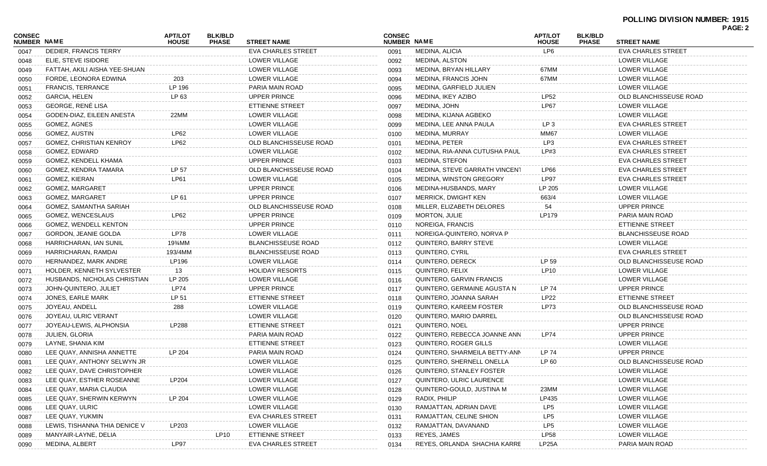## **POLLING DIVISION NUMBER: 1915 PAGE: 2**

| <b>CONSEC</b><br><b>NUMBER NAME</b> |                                | <b>APT/LOT</b><br><b>HOUSE</b> | <b>BLK/BLD</b><br><b>PHASE</b> | <b>STREET NAME</b>        | <b>CONSEC</b><br>NUMBER NAME |                                | <b>APT/LOT</b><br><b>HOUSE</b> | <b>BLK/BLD</b><br><b>PHASE</b> | <b>STREET NAME</b>        |  |
|-------------------------------------|--------------------------------|--------------------------------|--------------------------------|---------------------------|------------------------------|--------------------------------|--------------------------------|--------------------------------|---------------------------|--|
| 0047                                | DEDIER, FRANCIS TERRY          |                                |                                | <b>EVA CHARLES STREET</b> | 0091                         | MEDINA, ALICIA                 | LP6                            |                                | <b>EVA CHARLES STREET</b> |  |
| 0048                                | ELIE, STEVE ISIDORE            |                                |                                | LOWER VILLAGE             | 0092                         | MEDINA, ALSTON                 |                                |                                | LOWER VILLAGE             |  |
| 0049                                | FATTAH, AKILI AISHA YEE-SHUAN  |                                |                                | LOWER VILLAGE             | 0093                         | MEDINA, BRYAN HILLARY          | 67MM                           |                                | <b>LOWER VILLAGE</b>      |  |
| 0050                                | FORDE, LEONORA EDWINA          | 203                            |                                | LOWER VILLAGE             | 0094                         | <b>MEDINA, FRANCIS JOHN</b>    | 67MM                           |                                | <b>LOWER VILLAGE</b>      |  |
| 0051                                | <b>FRANCIS, TERRANCE</b>       | LP 196                         |                                | PARIA MAIN ROAD           | 0095                         | MEDINA, GARFIELD JULIEN        |                                |                                | LOWER VILLAGE             |  |
| 0052                                | <b>GARCIA, HELEN</b>           | LP 63                          |                                | <b>UPPER PRINCE</b>       | 0096                         | MEDINA, IKEY AZIBO             | <b>LP52</b>                    |                                | OLD BLANCHISSEUSE ROAD    |  |
| 0053                                | GEORGE, RENÉ LISA              |                                |                                | ETTIENNE STREET           | 0097                         | MEDINA, JOHN                   | <b>LP67</b>                    |                                | LOWER VILLAGE             |  |
| 0054                                | GODEN-DIAZ, EILEEN ANESTA      | 22MM                           |                                | LOWER VILLAGE             | 0098                         | MEDINA, KIJANA AGBEKO          |                                |                                | LOWER VILLAGE             |  |
| 0055                                | GOMEZ, AGNES                   |                                |                                | LOWER VILLAGE             | 0099                         | MEDINA, LEE ANNA PAULA         | LP <sub>3</sub>                |                                | <b>EVA CHARLES STREET</b> |  |
| 0056                                | GOMEZ, AUSTIN                  | <b>LP62</b>                    |                                | LOWER VILLAGE             | 0100                         | <b>MEDINA, MURRAY</b>          | <b>MM67</b>                    |                                | LOWER VILLAGE             |  |
| 0057                                | <b>GOMEZ, CHRISTIAN KENROY</b> | LP62                           |                                | OLD BLANCHISSEUSE ROAD    | 0101                         | MEDINA, PETER                  | LP3                            |                                | <b>EVA CHARLES STREET</b> |  |
| 0058                                | GOMEZ, EDWARD                  |                                |                                | LOWER VILLAGE             | 0102                         | MEDINA, RIA-ANNA CUTUSHA PAUL  | LP#3                           |                                | <b>EVA CHARLES STREET</b> |  |
| 0059                                | GOMEZ, KENDELL KHAMA           |                                |                                | <b>UPPER PRINCE</b>       | 0103                         | <b>MEDINA, STEFON</b>          |                                |                                | <b>EVA CHARLES STREET</b> |  |
| 0060                                | GOMEZ, KENDRA TAMARA           | LP 57                          |                                | OLD BLANCHISSEUSE ROAD    | 0104                         | MEDINA, STEVE GARRATH VINCENT  | LP66                           |                                | <b>EVA CHARLES STREET</b> |  |
| 0061                                | <b>GOMEZ, KIERAN</b>           | <b>LP61</b>                    |                                | LOWER VILLAGE             | 0105                         | <b>MEDINA, WINSTON GREGORY</b> | <b>LP97</b>                    |                                | <b>EVA CHARLES STREET</b> |  |
| 0062                                | <b>GOMEZ, MARGARET</b>         |                                |                                | <b>UPPER PRINCE</b>       | 0106                         | MEDINA-HUSBANDS, MARY          | LP 205                         |                                | LOWER VILLAGE             |  |
| 0063                                | <b>GOMEZ, MARGARET</b>         | LP 61                          |                                | <b>UPPER PRINCE</b>       | 0107                         | <b>MERRICK, DWIGHT KEN</b>     | 663/4                          |                                | LOWER VILLAGE             |  |
| 0064                                | GOMEZ, SAMANTHA SARIAH         |                                |                                | OLD BLANCHISSEUSE ROAD    | 0108                         | MILLER, ELIZABETH DELORES      | 54                             |                                | <b>UPPER PRINCE</b>       |  |
| 0065                                | GOMEZ, WENCESLAUS              | <b>LP62</b>                    |                                | <b>UPPER PRINCE</b>       | 0109                         | MORTON, JULIE                  | LP179                          |                                | PARIA MAIN ROAD           |  |
| 0066                                | GOMEZ, WENDELL KENTON          |                                |                                | <b>UPPER PRINCE</b>       | 0110                         | NOREIGA, FRANCIS               |                                |                                | ETTIENNE STREET           |  |
| 0067                                | GORDON, JEANIE GOLDA           | LP78                           |                                | LOWER VILLAGE             | 0111                         | NOREIGA-QUINTERO, NORVA P      |                                |                                | <b>BLANCHISSEUSE ROAD</b> |  |
| 0068                                | HARRICHARAN, IAN SUNIL         | 19%MM                          |                                | <b>BLANCHISSEUSE ROAD</b> | 0112                         | QUINTERO, BARRY STEVE          |                                |                                | <b>LOWER VILLAGE</b>      |  |
| 0069                                | HARRICHARAN, RAMDAI            | 193/4MM                        |                                | <b>BLANCHISSEUSE ROAD</b> | 0113                         | QUINTERO, CYRIL                |                                |                                | <b>EVA CHARLES STREET</b> |  |
| 0070                                | HERNANDEZ, MARK ANDRE          | LP196                          |                                | LOWER VILLAGE             | 0114                         | QUINTERO, DERECK               | LP 59                          |                                | OLD BLANCHISSEUSE ROAD    |  |
| 0071                                | HOLDER, KENNETH SYLVESTER      | 13                             |                                | <b>HOLIDAY RESORTS</b>    | 0115                         | QUINTERO, FELIX                | <b>LP10</b>                    |                                | LOWER VILLAGE             |  |
| 0072                                | HUSBANDS, NICHOLAS CHRISTIAN   | LP 205                         |                                | LOWER VILLAGE             | 0116                         | QUINTERO, GARVIN FRANCIS       |                                |                                | LOWER VILLAGE             |  |
| 0073                                | JOHN-QUINTERO, JULIET          | <b>LP74</b>                    |                                | <b>UPPER PRINCE</b>       | 0117                         | QUINTERO, GERMAINE AGUSTA N    | LP 74                          |                                | UPPER PRINCE              |  |
| 0074                                | JONES, EARLE MARK              | LP 51                          |                                | ETTIENNE STREET           | 0118                         | QUINTERO, JOANNA SARAH         | <b>LP22</b>                    |                                | ETTIENNE STREET           |  |
| 0075                                | JOYEAU, ANDELL                 | 288                            |                                | LOWER VILLAGE             | 0119                         | QUINTERO, KAREEM FOSTER        | <b>LP73</b>                    |                                | OLD BLANCHISSEUSE ROAD    |  |
| 0076                                | JOYEAU, ULRIC VERANT           |                                |                                | LOWER VILLAGE             | 0120                         | QUINTERO, MARIO DARREL         |                                |                                | OLD BLANCHISSEUSE ROAD    |  |
| 0077                                | JOYEAU-LEWIS, ALPHONSIA        | LP288                          |                                | ETTIENNE STREET           | 0121                         | QUINTERO, NOEL                 |                                |                                | UPPER PRINCE              |  |
| 0078                                | JULIEN, GLORIA                 |                                |                                | PARIA MAIN ROAD           | 0122                         | QUINTERO, REBECCA JOANNE ANN   | <b>LP74</b>                    |                                | UPPER PRINCE              |  |
| 0079                                | LAYNE, SHANIA KIM              |                                |                                | ETTIENNE STREET           | 0123                         | QUINTERO, ROGER GILLS          |                                |                                | LOWER VILLAGE             |  |
| 0080                                | LEE QUAY, ANNISHA ANNETTE      | LP 204                         |                                | PARIA MAIN ROAD           | 0124                         | QUINTERO, SHARMEILA BETTY-ANN  | LP 74                          |                                | <b>UPPER PRINCE</b>       |  |
| 0081                                | LEE QUAY, ANTHONY SELWYN JR    |                                |                                | LOWER VILLAGE             | 0125                         | QUINTERO, SHERNELL ONELLA      | LP 60                          |                                | OLD BLANCHISSEUSE ROAD    |  |
| 0082                                | LEE QUAY, DAVE CHRISTOPHER     |                                |                                | LOWER VILLAGE             | 0126                         | QUINTERO, STANLEY FOSTER       |                                |                                | LOWER VILLAGE             |  |
| 0083                                | LEE QUAY, ESTHER ROSEANNE      | LP204                          |                                | LOWER VILLAGE             | 0127                         | QUINTERO, ULRIC LAURENCE       |                                |                                | LOWER VILLAGE             |  |
| 0084                                | LEE QUAY, MARIA CLAUDIA        |                                |                                | LOWER VILLAGE             | 0128                         | QUINTERO-GOULD, JUSTINA M      | 23MM                           |                                | LOWER VILLAGE             |  |
| 0085                                | LEE QUAY, SHERWIN KERWYN       | LP 204                         |                                | LOWER VILLAGE             | 0129                         | RADIX, PHILIP                  | LP435                          |                                | LOWER VILLAGE             |  |
| 0086                                | LEE QUAY, ULRIC                |                                |                                | LOWER VILLAGE             | 0130                         | RAMJATTAN, ADRIAN DAVE         | LP <sub>5</sub>                |                                | LOWER VILLAGE             |  |
| 0087                                | LEE QUAY, YUKMIN               |                                |                                | <b>EVA CHARLES STREET</b> | 0131                         | RAMJATTAN, CELINE SHION        | LP <sub>5</sub>                |                                | LOWER VILLAGE             |  |
| 0088                                | LEWIS, TISHANNA THIA DENICE V  | LP203                          |                                | LOWER VILLAGE             | 0132                         | RAMJATTAN, DAVANAND            | LP <sub>5</sub>                |                                | LOWER VILLAGE             |  |
| 0089                                | MANYAIR-LAYNE, DELIA           |                                | LP10                           | <b>ETTIENNE STREET</b>    | 0133                         | REYES, JAMES                   | <b>LP58</b>                    |                                | LOWER VILLAGE             |  |
| 0090                                | MEDINA, ALBERT                 | LP97                           |                                | <b>EVA CHARLES STREET</b> | 0134                         | REYES, ORLANDA SHACHIA KARRE   | LP <sub>25</sub> A             |                                | PARIA MAIN ROAD           |  |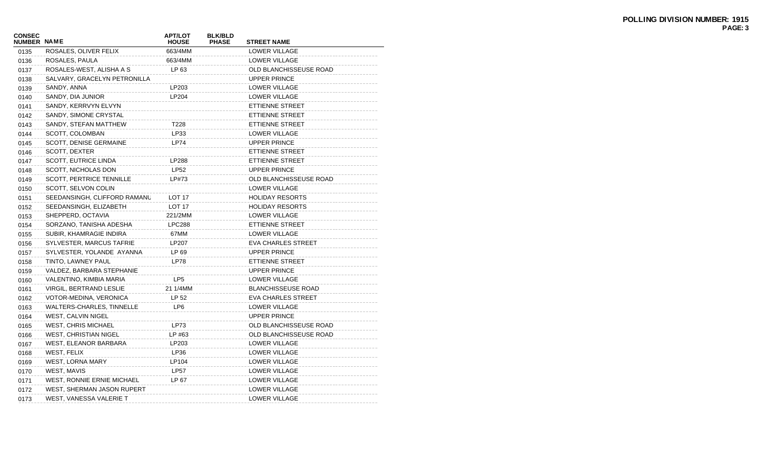| <b>CONSEC</b><br>NUMBER NAME |                                 | <b>APT/LOT</b><br><b>HOUSE</b> | <b>BLK/BLD</b><br><b>PHASE</b> | <b>STREET NAME</b>        |
|------------------------------|---------------------------------|--------------------------------|--------------------------------|---------------------------|
| 0135                         | ROSALES, OLIVER FELIX           | 663/4MM                        |                                | LOWER VILLAGE             |
| 0136                         | ROSALES, PAULA                  | 663/4MM                        |                                | LOWER VILLAGE             |
| 0137                         | ROSALES-WEST, ALISHA A S        | LP 63                          |                                | OLD BLANCHISSEUSE ROAD    |
| 0138                         | SALVARY, GRACELYN PETRONILLA    |                                |                                | UPPER PRINCE              |
| 0139                         | SANDY, ANNA                     | LP203                          |                                | LOWER VILLAGE             |
| 0140                         | SANDY, DIA JUNIOR               | LP204                          |                                | <b>LOWER VILLAGE</b>      |
| 0141                         | SANDY, KERRVYN ELVYN            |                                |                                | ETTIENNE STREET           |
| 0142                         | SANDY, SIMONE CRYSTAL           |                                |                                | ETTIENNE STREET           |
| 0143                         | SANDY, STEFAN MATTHEW           | T228                           |                                | <b>ETTIENNE STREET</b>    |
| 0144                         | SCOTT, COLOMBAN                 | LP33                           |                                | LOWER VILLAGE             |
| 0145                         | SCOTT, DENISE GERMAINE          | <b>LP74</b>                    |                                | <b>UPPER PRINCE</b>       |
| 0146                         | SCOTT, DEXTER                   |                                |                                | ETTIENNE STREET           |
| 0147                         | <b>SCOTT, EUTRICE LINDA</b>     | LP288                          |                                | ETTIENNE STREET           |
| 0148                         | SCOTT, NICHOLAS DON             | <b>LP52</b>                    |                                | <b>UPPER PRINCE</b>       |
| 0149                         | <b>SCOTT, PERTRICE TENNILLE</b> | LP#73                          |                                | OLD BLANCHISSEUSE ROAD    |
| 0150                         | SCOTT, SELVON COLIN             |                                |                                | LOWER VILLAGE             |
| 0151                         | SEEDANSINGH, CLIFFORD RAMANU    | <b>LOT 17</b>                  |                                | <b>HOLIDAY RESORTS</b>    |
| 0152                         | SEEDANSINGH, ELIZABETH          | LOT <sub>17</sub>              |                                | <b>HOLIDAY RESORTS</b>    |
| 0153                         | SHEPPERD, OCTAVIA               | 221/2MM                        |                                | LOWER VILLAGE             |
| 0154                         | SORZANO, TANISHA ADESHA         | <b>LPC288</b>                  |                                | ETTIENNE STREET           |
| 0155                         | SUBIR, KHAMRAGIE INDIRA         | 67MM                           |                                | <b>LOWER VILLAGE</b>      |
| 0156                         | SYLVESTER, MARCUS TAFRIE        | LP207                          |                                | <b>EVA CHARLES STREET</b> |
| 0157                         | SYLVESTER, YOLANDE AYANNA       | LP 69                          |                                | <b>UPPER PRINCE</b>       |
| 0158                         | TINTO, LAWNEY PAUL              | <b>LP78</b>                    |                                | ETTIENNE STREET           |
| 0159                         | VALDEZ, BARBARA STEPHANIE       |                                |                                | UPPER PRINCE              |
| 0160                         | VALENTINO, KIMBIA MARIA         | LP <sub>5</sub>                |                                | LOWER VILLAGE             |
| 0161                         | <b>VIRGIL, BERTRAND LESLIE</b>  | 21 1/4MM                       |                                | <b>BLANCHISSEUSE ROAD</b> |
| 0162                         | VOTOR-MEDINA, VERONICA          | LP 52                          |                                | <b>EVA CHARLES STREET</b> |
| 0163                         | WALTERS-CHARLES, TINNELLE       | LP <sub>6</sub>                |                                | LOWER VILLAGE             |
| 0164                         | <b>WEST, CALVIN NIGEL</b>       |                                |                                | <b>UPPER PRINCE</b>       |
| 0165                         | <b>WEST, CHRIS MICHAEL</b>      | LP73                           |                                | OLD BLANCHISSEUSE ROAD    |
| 0166                         | <b>WEST, CHRISTIAN NIGEL</b>    | LP #63                         |                                | OLD BLANCHISSEUSE ROAD    |
| 0167                         | WEST, ELEANOR BARBARA           | LP203                          |                                | LOWER VILLAGE             |
| 0168                         | WEST, FELIX                     | LP36                           |                                | LOWER VILLAGE             |
| 0169                         | <b>WEST, LORNA MARY</b>         | LP104                          |                                | LOWER VILLAGE             |
| 0170                         | WEST, MAVIS                     | <b>LP57</b>                    |                                | LOWER VILLAGE             |
| 0171                         | WEST, RONNIE ERNIE MICHAEL      | LP 67                          |                                | LOWER VILLAGE             |
| 0172                         | WEST, SHERMAN JASON RUPERT      |                                |                                | LOWER VILLAGE             |
| 0173                         | WEST, VANESSA VALERIE T         |                                |                                | <b>LOWER VILLAGE</b>      |